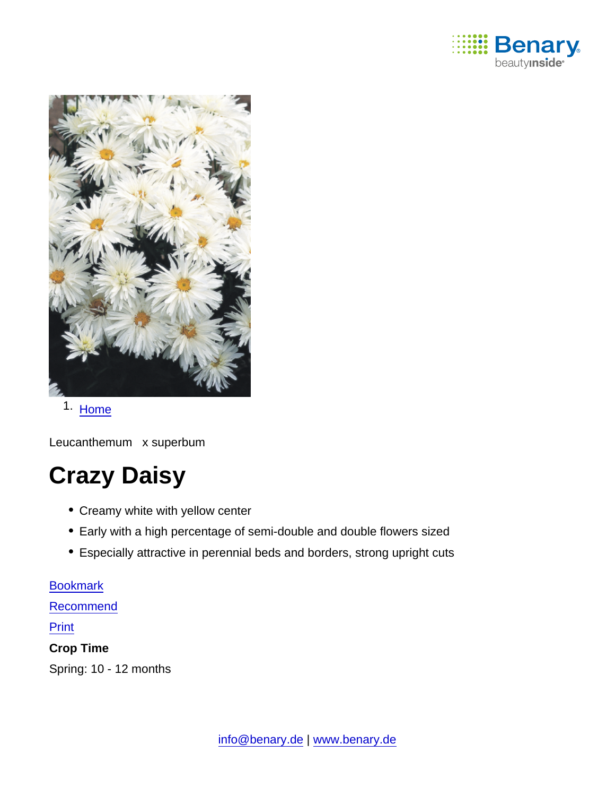

1. [Home](https://www.benary.com/)

Leucanthemum x superbum

# Crazy Daisy

- Creamy white with yellow center
- Early with a high percentage of semi-double and double flowers sized
- Especially attractive in perennial beds and borders, strong upright cuts

[Bookmark](https://www.benary.com/flag/flag/product/5975?destination&token=aH6KLu8fsM3scLZnz7yoNI_y4WLjwTe22CNhvOCaN4A) [Recommend](mailto:?subject=Benary Leucanthemum x superbum &body=https://www.benary.com/print/pdf/node/5975) Print Crop Time Spring: 10 - 12 months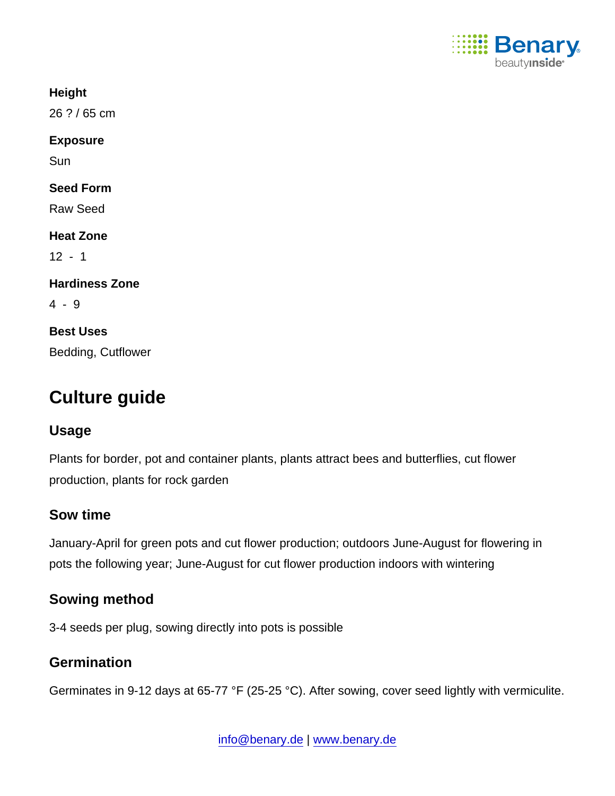

**Height** 

26 ? / 65 cm

Exposure

Sun

Seed Form

Raw Seed

Heat Zone

 $12 - 1$ 

Hardiness Zone

4 - 9

Best Uses Bedding, Cutflower

# Culture guide

#### Usage

Plants for border, pot and container plants, plants attract bees and butterflies, cut flower production, plants for rock garden

# Sow time

January-April for green pots and cut flower production; outdoors June-August for flowering in pots the following year; June-August for cut flower production indoors with wintering

# Sowing method

3-4 seeds per plug, sowing directly into pots is possible

# **Germination**

Germinates in 9-12 days at 65-77 °F (25-25 °C). After sowing, cover seed lightly with vermiculite.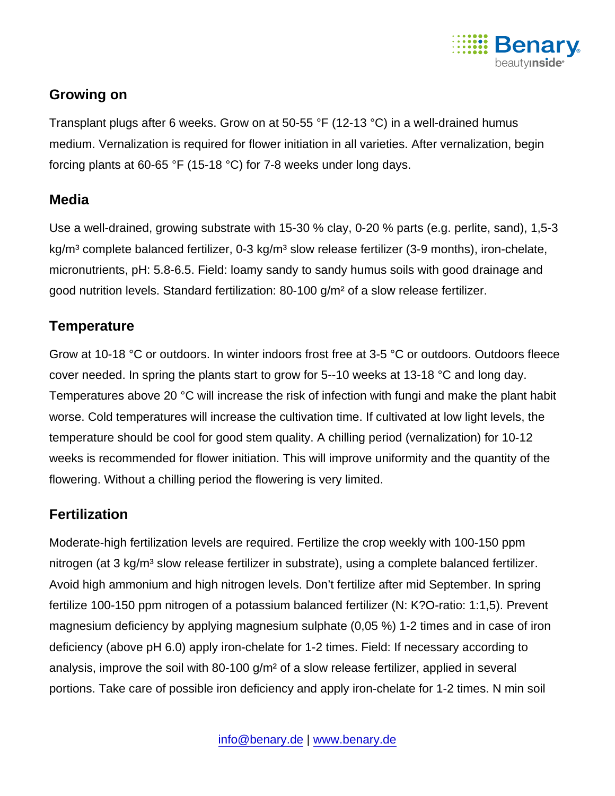

### Growing on

Transplant plugs after 6 weeks. Grow on at 50-55 °F (12-13 °C) in a well-drained humus medium. Vernalization is required for flower initiation in all varieties. After vernalization, begin forcing plants at 60-65 °F (15-18 °C) for 7-8 weeks under long days.

#### Media

Use a well-drained, growing substrate with 15-30 % clay, 0-20 % parts (e.g. perlite, sand), 1,5-3 kg/m<sup>3</sup> complete balanced fertilizer, 0-3 kg/m<sup>3</sup> slow release fertilizer (3-9 months), iron-chelate, micronutrients, pH: 5.8-6.5. Field: loamy sandy to sandy humus soils with good drainage and good nutrition levels. Standard fertilization: 80-100 g/m² of a slow release fertilizer.

### **Temperature**

Grow at 10-18 °C or outdoors. In winter indoors frost free at 3-5 °C or outdoors. Outdoors fleece cover needed. In spring the plants start to grow for 5--10 weeks at 13-18 °C and long day. Temperatures above 20 °C will increase the risk of infection with fungi and make the plant habit worse. Cold temperatures will increase the cultivation time. If cultivated at low light levels, the temperature should be cool for good stem quality. A chilling period (vernalization) for 10-12 weeks is recommended for flower initiation. This will improve uniformity and the quantity of the flowering. Without a chilling period the flowering is very limited.

#### **Fertilization**

Moderate-high fertilization levels are required. Fertilize the crop weekly with 100-150 ppm nitrogen (at 3 kg/m<sup>3</sup> slow release fertilizer in substrate), using a complete balanced fertilizer. Avoid high ammonium and high nitrogen levels. Don't fertilize after mid September. In spring fertilize 100-150 ppm nitrogen of a potassium balanced fertilizer (N: K?O-ratio: 1:1,5). Prevent magnesium deficiency by applying magnesium sulphate (0,05 %) 1-2 times and in case of iron deficiency (above pH 6.0) apply iron-chelate for 1-2 times. Field: If necessary according to analysis, improve the soil with 80-100 g/m<sup>2</sup> of a slow release fertilizer, applied in several portions. Take care of possible iron deficiency and apply iron-chelate for 1-2 times. N min soil